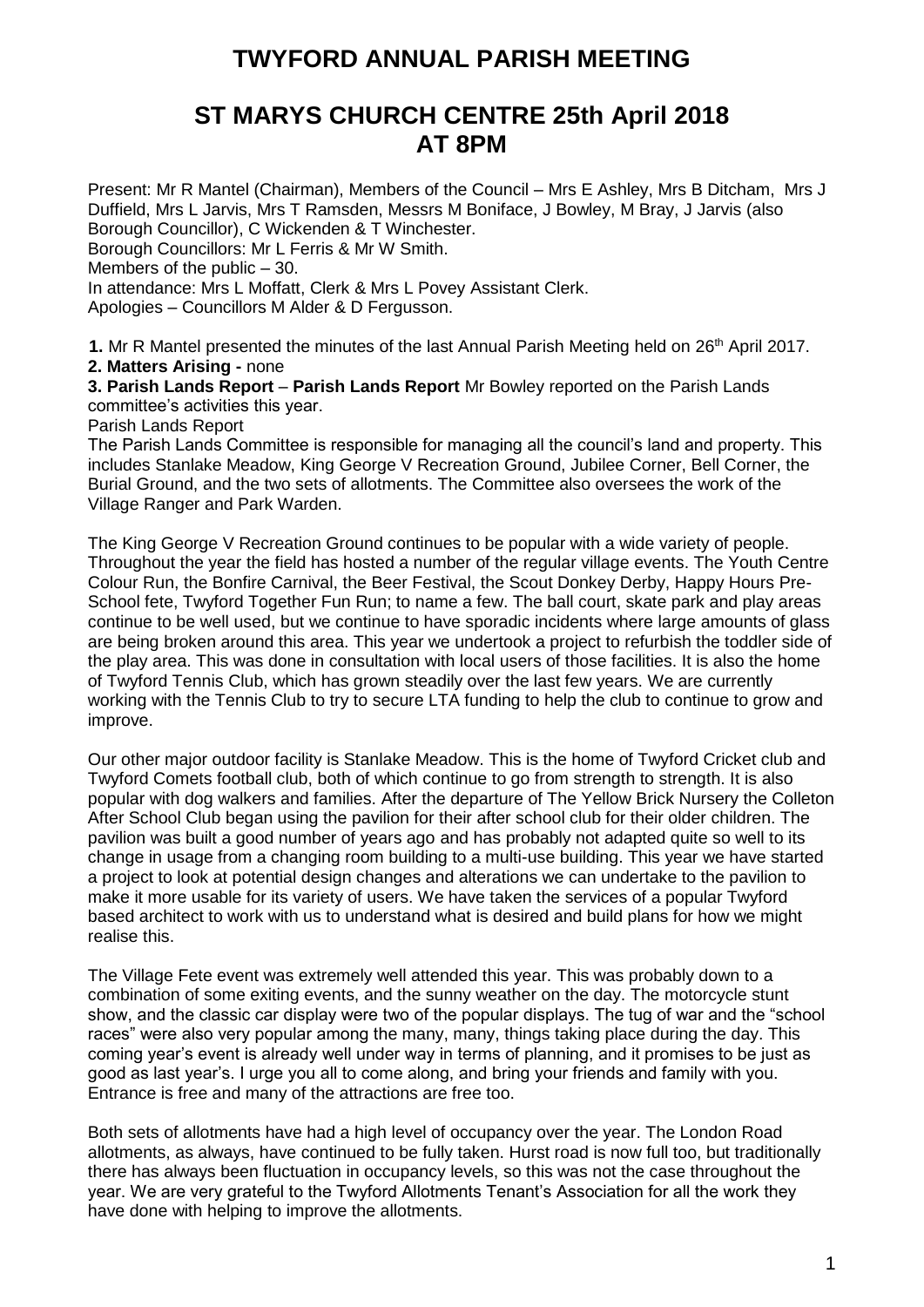# **TWYFORD ANNUAL PARISH MEETING**

## **ST MARYS CHURCH CENTRE 25th April 2018 AT 8PM**

Present: Mr R Mantel (Chairman), Members of the Council – Mrs E Ashley, Mrs B Ditcham, Mrs J Duffield, Mrs L Jarvis, Mrs T Ramsden, Messrs M Boniface, J Bowley, M Bray, J Jarvis (also Borough Councillor), C Wickenden & T Winchester. Borough Councillors: Mr L Ferris & Mr W Smith. Members of the public – 30. In attendance: Mrs L Moffatt, Clerk & Mrs L Povey Assistant Clerk. Apologies – Councillors M Alder & D Fergusson.

1. Mr R Mantel presented the minutes of the last Annual Parish Meeting held on 26<sup>th</sup> April 2017. **2. Matters Arising -** none

**3. Parish Lands Report** – **Parish Lands Report** Mr Bowley reported on the Parish Lands committee's activities this year.

Parish Lands Report

The Parish Lands Committee is responsible for managing all the council's land and property. This includes Stanlake Meadow, King George V Recreation Ground, Jubilee Corner, Bell Corner, the Burial Ground, and the two sets of allotments. The Committee also oversees the work of the Village Ranger and Park Warden.

The King George V Recreation Ground continues to be popular with a wide variety of people. Throughout the year the field has hosted a number of the regular village events. The Youth Centre Colour Run, the Bonfire Carnival, the Beer Festival, the Scout Donkey Derby, Happy Hours Pre-School fete, Twyford Together Fun Run; to name a few. The ball court, skate park and play areas continue to be well used, but we continue to have sporadic incidents where large amounts of glass are being broken around this area. This year we undertook a project to refurbish the toddler side of the play area. This was done in consultation with local users of those facilities. It is also the home of Twyford Tennis Club, which has grown steadily over the last few years. We are currently working with the Tennis Club to try to secure LTA funding to help the club to continue to grow and improve.

Our other major outdoor facility is Stanlake Meadow. This is the home of Twyford Cricket club and Twyford Comets football club, both of which continue to go from strength to strength. It is also popular with dog walkers and families. After the departure of The Yellow Brick Nursery the Colleton After School Club began using the pavilion for their after school club for their older children. The pavilion was built a good number of years ago and has probably not adapted quite so well to its change in usage from a changing room building to a multi-use building. This year we have started a project to look at potential design changes and alterations we can undertake to the pavilion to make it more usable for its variety of users. We have taken the services of a popular Twyford based architect to work with us to understand what is desired and build plans for how we might realise this.

The Village Fete event was extremely well attended this year. This was probably down to a combination of some exiting events, and the sunny weather on the day. The motorcycle stunt show, and the classic car display were two of the popular displays. The tug of war and the "school races" were also very popular among the many, many, things taking place during the day. This coming year's event is already well under way in terms of planning, and it promises to be just as good as last year's. I urge you all to come along, and bring your friends and family with you. Entrance is free and many of the attractions are free too.

Both sets of allotments have had a high level of occupancy over the year. The London Road allotments, as always, have continued to be fully taken. Hurst road is now full too, but traditionally there has always been fluctuation in occupancy levels, so this was not the case throughout the year. We are very grateful to the Twyford Allotments Tenant's Association for all the work they have done with helping to improve the allotments.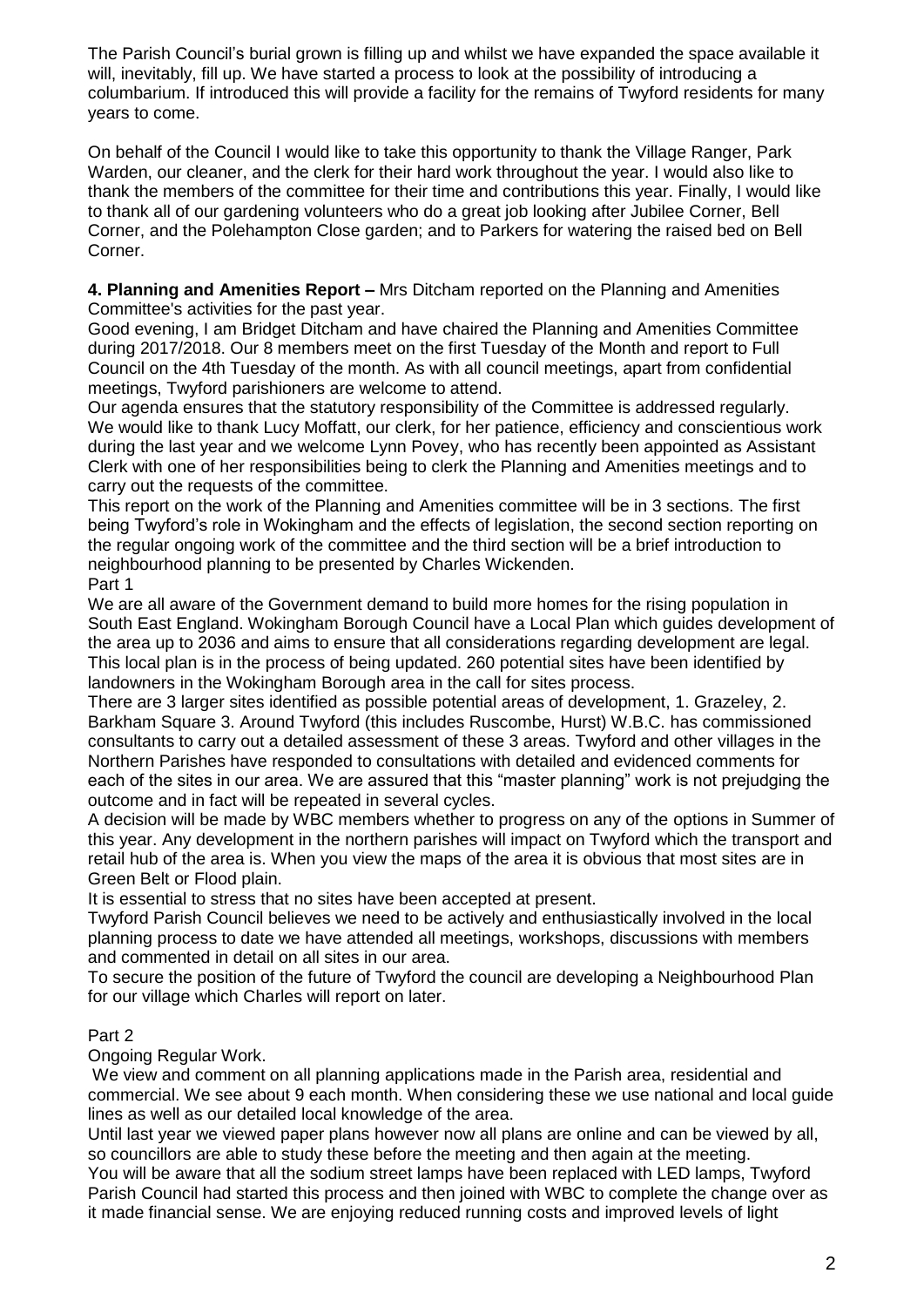The Parish Council's burial grown is filling up and whilst we have expanded the space available it will, inevitably, fill up. We have started a process to look at the possibility of introducing a columbarium. If introduced this will provide a facility for the remains of Twyford residents for many years to come.

On behalf of the Council I would like to take this opportunity to thank the Village Ranger, Park Warden, our cleaner, and the clerk for their hard work throughout the year. I would also like to thank the members of the committee for their time and contributions this year. Finally, I would like to thank all of our gardening volunteers who do a great job looking after Jubilee Corner, Bell Corner, and the Polehampton Close garden; and to Parkers for watering the raised bed on Bell Corner.

**4. Planning and Amenities Report –** Mrs Ditcham reported on the Planning and Amenities Committee's activities for the past year.

Good evening, I am Bridget Ditcham and have chaired the Planning and Amenities Committee during 2017/2018. Our 8 members meet on the first Tuesday of the Month and report to Full Council on the 4th Tuesday of the month. As with all council meetings, apart from confidential meetings, Twyford parishioners are welcome to attend.

Our agenda ensures that the statutory responsibility of the Committee is addressed regularly. We would like to thank Lucy Moffatt, our clerk, for her patience, efficiency and conscientious work during the last year and we welcome Lynn Povey, who has recently been appointed as Assistant Clerk with one of her responsibilities being to clerk the Planning and Amenities meetings and to carry out the requests of the committee.

This report on the work of the Planning and Amenities committee will be in 3 sections. The first being Twyford's role in Wokingham and the effects of legislation, the second section reporting on the regular ongoing work of the committee and the third section will be a brief introduction to neighbourhood planning to be presented by Charles Wickenden.

Part 1

We are all aware of the Government demand to build more homes for the rising population in South East England. Wokingham Borough Council have a Local Plan which guides development of the area up to 2036 and aims to ensure that all considerations regarding development are legal. This local plan is in the process of being updated. 260 potential sites have been identified by landowners in the Wokingham Borough area in the call for sites process.

There are 3 larger sites identified as possible potential areas of development, 1. Grazeley, 2. Barkham Square 3. Around Twyford (this includes Ruscombe, Hurst) W.B.C. has commissioned consultants to carry out a detailed assessment of these 3 areas. Twyford and other villages in the Northern Parishes have responded to consultations with detailed and evidenced comments for each of the sites in our area. We are assured that this "master planning" work is not prejudging the outcome and in fact will be repeated in several cycles.

A decision will be made by WBC members whether to progress on any of the options in Summer of this year. Any development in the northern parishes will impact on Twyford which the transport and retail hub of the area is. When you view the maps of the area it is obvious that most sites are in Green Belt or Flood plain.

It is essential to stress that no sites have been accepted at present.

Twyford Parish Council believes we need to be actively and enthusiastically involved in the local planning process to date we have attended all meetings, workshops, discussions with members and commented in detail on all sites in our area.

To secure the position of the future of Twyford the council are developing a Neighbourhood Plan for our village which Charles will report on later.

### Part 2

Ongoing Regular Work.

We view and comment on all planning applications made in the Parish area, residential and commercial. We see about 9 each month. When considering these we use national and local guide lines as well as our detailed local knowledge of the area.

Until last year we viewed paper plans however now all plans are online and can be viewed by all, so councillors are able to study these before the meeting and then again at the meeting.

You will be aware that all the sodium street lamps have been replaced with LED lamps, Twyford Parish Council had started this process and then joined with WBC to complete the change over as it made financial sense. We are enjoying reduced running costs and improved levels of light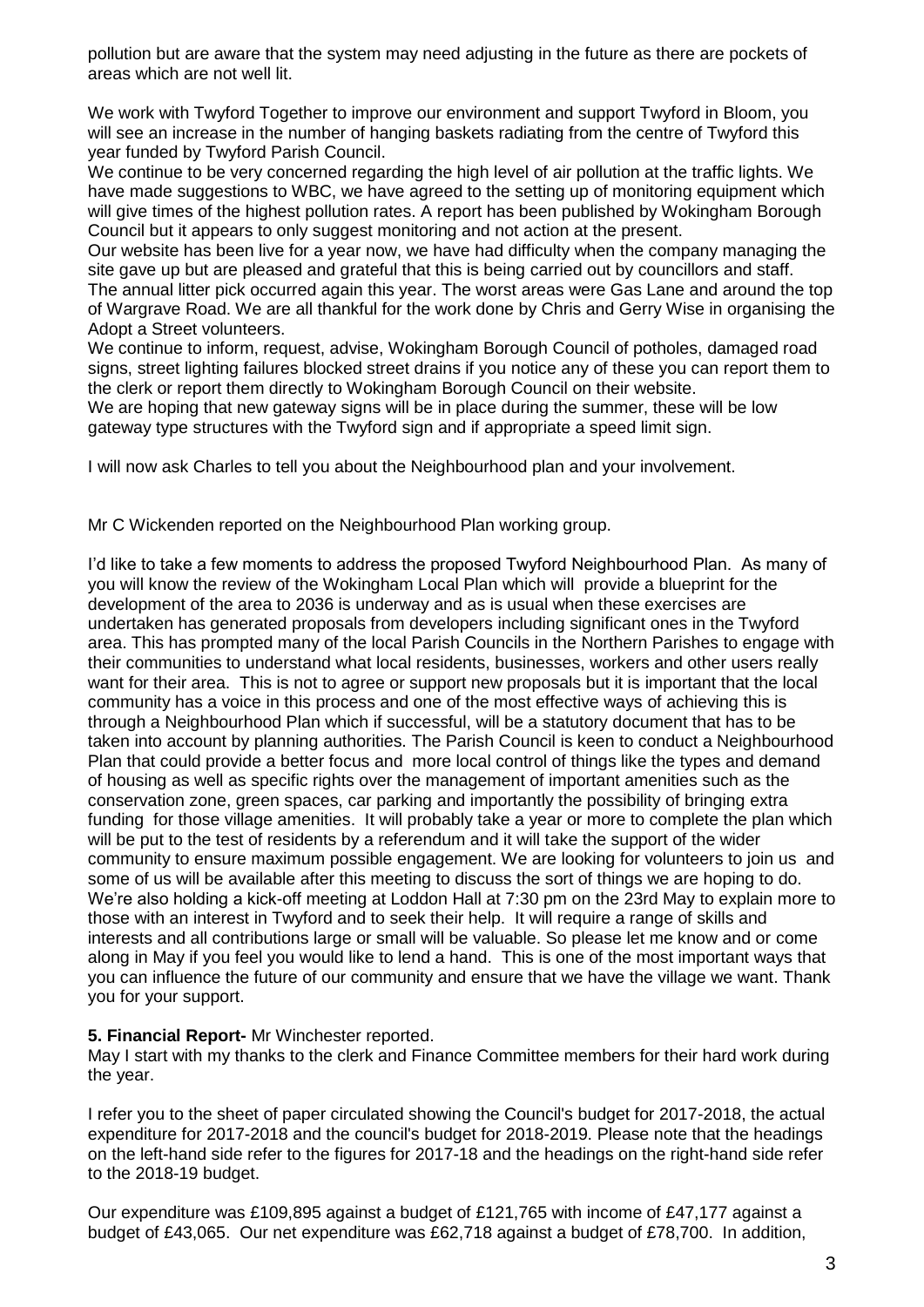pollution but are aware that the system may need adjusting in the future as there are pockets of areas which are not well lit.

We work with Twyford Together to improve our environment and support Twyford in Bloom, you will see an increase in the number of hanging baskets radiating from the centre of Twyford this year funded by Twyford Parish Council.

We continue to be very concerned regarding the high level of air pollution at the traffic lights. We have made suggestions to WBC, we have agreed to the setting up of monitoring equipment which will give times of the highest pollution rates. A report has been published by Wokingham Borough Council but it appears to only suggest monitoring and not action at the present.

Our website has been live for a year now, we have had difficulty when the company managing the site gave up but are pleased and grateful that this is being carried out by councillors and staff. The annual litter pick occurred again this year. The worst areas were Gas Lane and around the top of Wargrave Road. We are all thankful for the work done by Chris and Gerry Wise in organising the Adopt a Street volunteers.

We continue to inform, request, advise, Wokingham Borough Council of potholes, damaged road signs, street lighting failures blocked street drains if you notice any of these you can report them to the clerk or report them directly to Wokingham Borough Council on their website.

We are hoping that new gateway signs will be in place during the summer, these will be low gateway type structures with the Twyford sign and if appropriate a speed limit sign.

I will now ask Charles to tell you about the Neighbourhood plan and your involvement.

Mr C Wickenden reported on the Neighbourhood Plan working group.

I'd like to take a few moments to address the proposed Twyford Neighbourhood Plan. As many of you will know the review of the Wokingham Local Plan which will provide a blueprint for the development of the area to 2036 is underway and as is usual when these exercises are undertaken has generated proposals from developers including significant ones in the Twyford area. This has prompted many of the local Parish Councils in the Northern Parishes to engage with their communities to understand what local residents, businesses, workers and other users really want for their area. This is not to agree or support new proposals but it is important that the local community has a voice in this process and one of the most effective ways of achieving this is through a Neighbourhood Plan which if successful, will be a statutory document that has to be taken into account by planning authorities. The Parish Council is keen to conduct a Neighbourhood Plan that could provide a better focus and more local control of things like the types and demand of housing as well as specific rights over the management of important amenities such as the conservation zone, green spaces, car parking and importantly the possibility of bringing extra funding for those village amenities. It will probably take a year or more to complete the plan which will be put to the test of residents by a referendum and it will take the support of the wider community to ensure maximum possible engagement. We are looking for volunteers to join us and some of us will be available after this meeting to discuss the sort of things we are hoping to do. We're also holding a kick-off meeting at Loddon Hall at 7:30 pm on the 23rd May to explain more to those with an interest in Twyford and to seek their help. It will require a range of skills and interests and all contributions large or small will be valuable. So please let me know and or come along in May if you feel you would like to lend a hand. This is one of the most important ways that you can influence the future of our community and ensure that we have the village we want. Thank you for your support.

#### **5. Financial Report-** Mr Winchester reported.

May I start with my thanks to the clerk and Finance Committee members for their hard work during the year.

I refer you to the sheet of paper circulated showing the Council's budget for 2017-2018, the actual expenditure for 2017-2018 and the council's budget for 2018-2019. Please note that the headings on the left-hand side refer to the figures for 2017-18 and the headings on the right-hand side refer to the 2018-19 budget.

Our expenditure was £109,895 against a budget of £121,765 with income of £47,177 against a budget of £43,065. Our net expenditure was £62,718 against a budget of £78,700. In addition,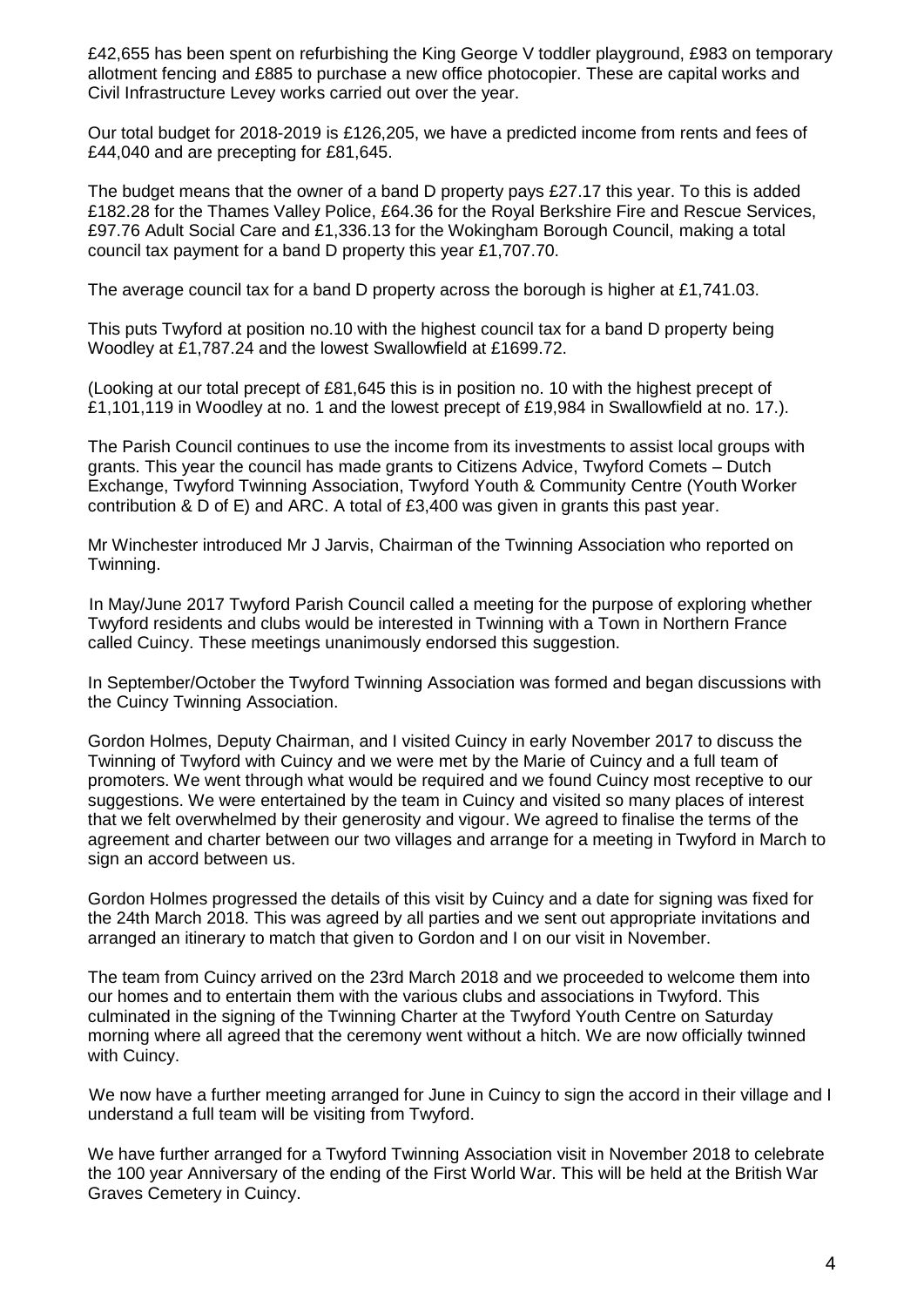£42,655 has been spent on refurbishing the King George V toddler playground, £983 on temporary allotment fencing and £885 to purchase a new office photocopier. These are capital works and Civil Infrastructure Levey works carried out over the year.

Our total budget for 2018-2019 is £126,205, we have a predicted income from rents and fees of £44,040 and are precepting for £81,645.

The budget means that the owner of a band D property pays £27.17 this year. To this is added £182.28 for the Thames Valley Police, £64.36 for the Royal Berkshire Fire and Rescue Services, £97.76 Adult Social Care and £1,336.13 for the Wokingham Borough Council, making a total council tax payment for a band D property this year £1,707.70.

The average council tax for a band D property across the borough is higher at £1,741.03.

This puts Twyford at position no.10 with the highest council tax for a band D property being Woodley at £1,787.24 and the lowest Swallowfield at £1699.72.

(Looking at our total precept of £81,645 this is in position no. 10 with the highest precept of £1,101,119 in Woodley at no. 1 and the lowest precept of £19,984 in Swallowfield at no. 17.).

The Parish Council continues to use the income from its investments to assist local groups with grants. This year the council has made grants to Citizens Advice, Twyford Comets – Dutch Exchange, Twyford Twinning Association, Twyford Youth & Community Centre (Youth Worker contribution & D of E) and ARC. A total of £3,400 was given in grants this past year.

Mr Winchester introduced Mr J Jarvis, Chairman of the Twinning Association who reported on Twinning.

In May/June 2017 Twyford Parish Council called a meeting for the purpose of exploring whether Twyford residents and clubs would be interested in Twinning with a Town in Northern France called Cuincy. These meetings unanimously endorsed this suggestion.

In September/October the Twyford Twinning Association was formed and began discussions with the Cuincy Twinning Association.

Gordon Holmes, Deputy Chairman, and I visited Cuincy in early November 2017 to discuss the Twinning of Twyford with Cuincy and we were met by the Marie of Cuincy and a full team of promoters. We went through what would be required and we found Cuincy most receptive to our suggestions. We were entertained by the team in Cuincy and visited so many places of interest that we felt overwhelmed by their generosity and vigour. We agreed to finalise the terms of the agreement and charter between our two villages and arrange for a meeting in Twyford in March to sign an accord between us.

Gordon Holmes progressed the details of this visit by Cuincy and a date for signing was fixed for the 24th March 2018. This was agreed by all parties and we sent out appropriate invitations and arranged an itinerary to match that given to Gordon and I on our visit in November.

The team from Cuincy arrived on the 23rd March 2018 and we proceeded to welcome them into our homes and to entertain them with the various clubs and associations in Twyford. This culminated in the signing of the Twinning Charter at the Twyford Youth Centre on Saturday morning where all agreed that the ceremony went without a hitch. We are now officially twinned with Cuincy.

We now have a further meeting arranged for June in Cuincy to sign the accord in their village and I understand a full team will be visiting from Twyford.

We have further arranged for a Twyford Twinning Association visit in November 2018 to celebrate the 100 year Anniversary of the ending of the First World War. This will be held at the British War Graves Cemetery in Cuincy.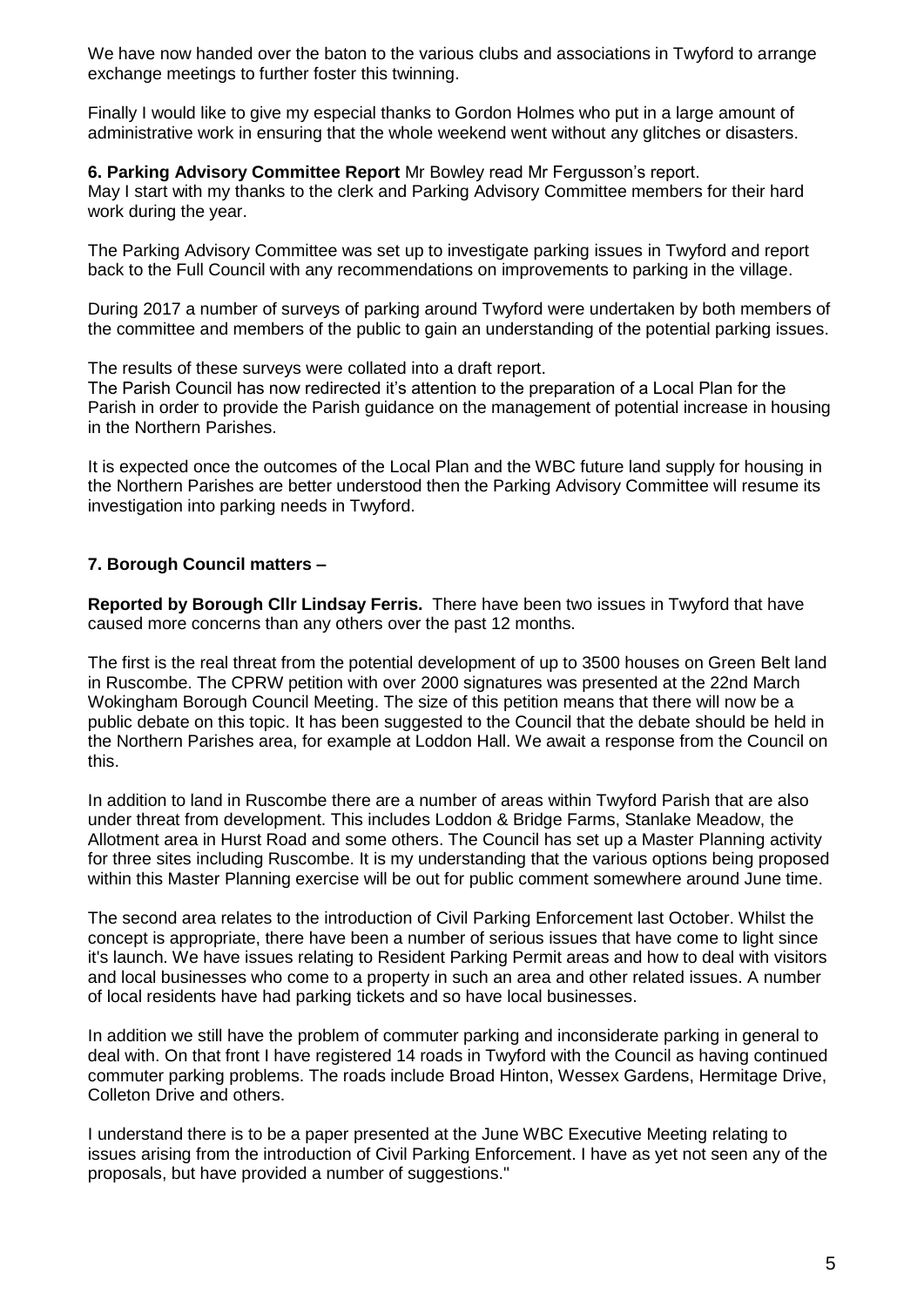We have now handed over the baton to the various clubs and associations in Twyford to arrange exchange meetings to further foster this twinning.

Finally I would like to give my especial thanks to Gordon Holmes who put in a large amount of administrative work in ensuring that the whole weekend went without any glitches or disasters.

#### **6. Parking Advisory Committee Report** Mr Bowley read Mr Fergusson's report.

May I start with my thanks to the clerk and Parking Advisory Committee members for their hard work during the year.

The Parking Advisory Committee was set up to investigate parking issues in Twyford and report back to the Full Council with any recommendations on improvements to parking in the village.

During 2017 a number of surveys of parking around Twyford were undertaken by both members of the committee and members of the public to gain an understanding of the potential parking issues.

The results of these surveys were collated into a draft report.

The Parish Council has now redirected it's attention to the preparation of a Local Plan for the Parish in order to provide the Parish guidance on the management of potential increase in housing in the Northern Parishes.

It is expected once the outcomes of the Local Plan and the WBC future land supply for housing in the Northern Parishes are better understood then the Parking Advisory Committee will resume its investigation into parking needs in Twyford.

#### **7. Borough Council matters –**

**Reported by Borough Cllr Lindsay Ferris.** There have been two issues in Twyford that have caused more concerns than any others over the past 12 months.

The first is the real threat from the potential development of up to 3500 houses on Green Belt land in Ruscombe. The CPRW petition with over 2000 signatures was presented at the 22nd March Wokingham Borough Council Meeting. The size of this petition means that there will now be a public debate on this topic. It has been suggested to the Council that the debate should be held in the Northern Parishes area, for example at Loddon Hall. We await a response from the Council on this.

In addition to land in Ruscombe there are a number of areas within Twyford Parish that are also under threat from development. This includes Loddon & Bridge Farms, Stanlake Meadow, the Allotment area in Hurst Road and some others. The Council has set up a Master Planning activity for three sites including Ruscombe. It is my understanding that the various options being proposed within this Master Planning exercise will be out for public comment somewhere around June time.

The second area relates to the introduction of Civil Parking Enforcement last October. Whilst the concept is appropriate, there have been a number of serious issues that have come to light since it's launch. We have issues relating to Resident Parking Permit areas and how to deal with visitors and local businesses who come to a property in such an area and other related issues. A number of local residents have had parking tickets and so have local businesses.

In addition we still have the problem of commuter parking and inconsiderate parking in general to deal with. On that front I have registered 14 roads in Twyford with the Council as having continued commuter parking problems. The roads include Broad Hinton, Wessex Gardens, Hermitage Drive, Colleton Drive and others.

I understand there is to be a paper presented at the June WBC Executive Meeting relating to issues arising from the introduction of Civil Parking Enforcement. I have as yet not seen any of the proposals, but have provided a number of suggestions."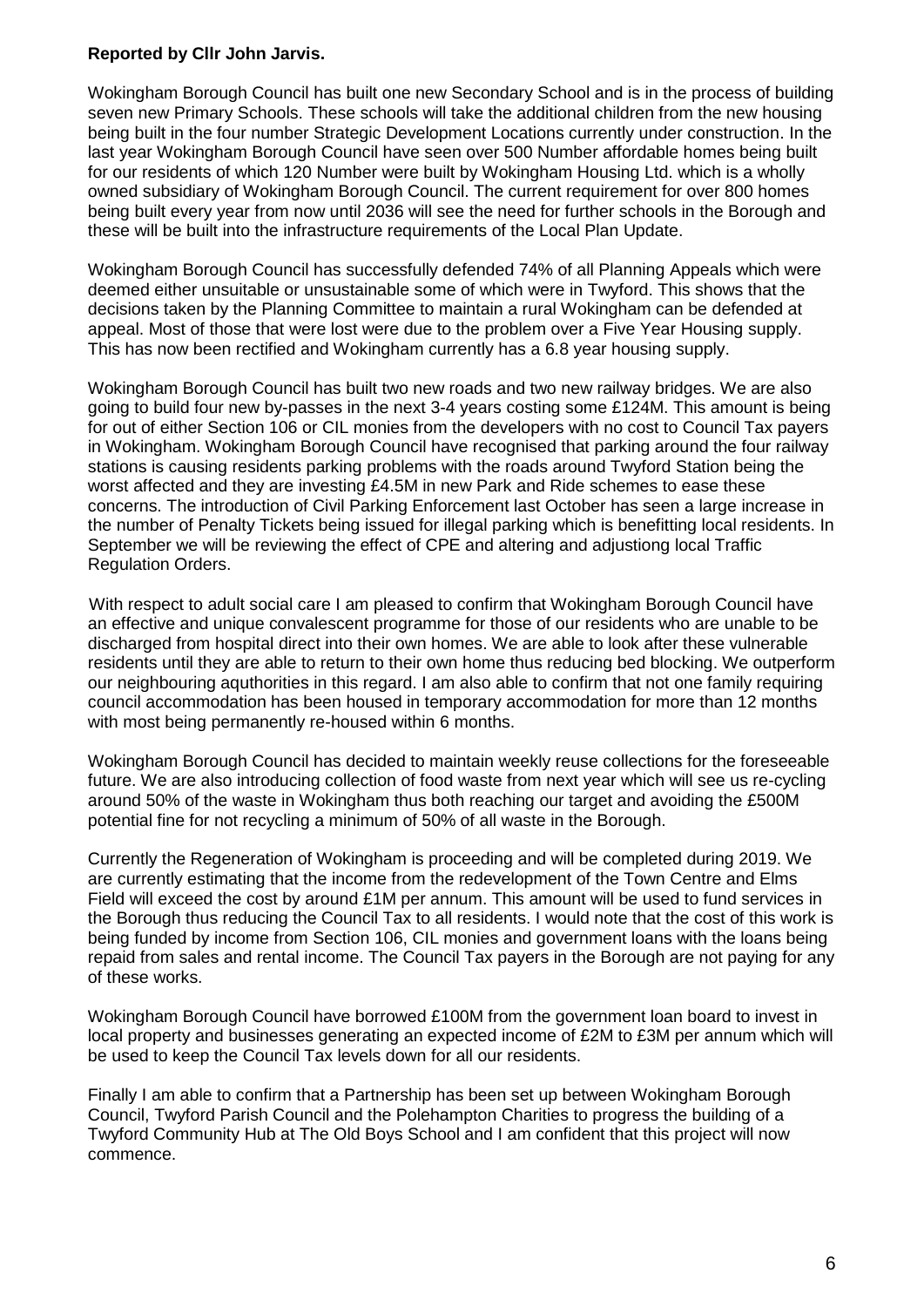#### **Reported by Cllr John Jarvis.**

Wokingham Borough Council has built one new Secondary School and is in the process of building seven new Primary Schools. These schools will take the additional children from the new housing being built in the four number Strategic Development Locations currently under construction. In the last year Wokingham Borough Council have seen over 500 Number affordable homes being built for our residents of which 120 Number were built by Wokingham Housing Ltd. which is a wholly owned subsidiary of Wokingham Borough Council. The current requirement for over 800 homes being built every year from now until 2036 will see the need for further schools in the Borough and these will be built into the infrastructure requirements of the Local Plan Update.

Wokingham Borough Council has successfully defended 74% of all Planning Appeals which were deemed either unsuitable or unsustainable some of which were in Twyford. This shows that the decisions taken by the Planning Committee to maintain a rural Wokingham can be defended at appeal. Most of those that were lost were due to the problem over a Five Year Housing supply. This has now been rectified and Wokingham currently has a 6.8 year housing supply.

Wokingham Borough Council has built two new roads and two new railway bridges. We are also going to build four new by-passes in the next 3-4 years costing some £124M. This amount is being for out of either Section 106 or CIL monies from the developers with no cost to Council Tax payers in Wokingham. Wokingham Borough Council have recognised that parking around the four railway stations is causing residents parking problems with the roads around Twyford Station being the worst affected and they are investing £4.5M in new Park and Ride schemes to ease these concerns. The introduction of Civil Parking Enforcement last October has seen a large increase in the number of Penalty Tickets being issued for illegal parking which is benefitting local residents. In September we will be reviewing the effect of CPE and altering and adjustiong local Traffic Regulation Orders.

With respect to adult social care I am pleased to confirm that Wokingham Borough Council have an effective and unique convalescent programme for those of our residents who are unable to be discharged from hospital direct into their own homes. We are able to look after these vulnerable residents until they are able to return to their own home thus reducing bed blocking. We outperform our neighbouring aquthorities in this regard. I am also able to confirm that not one family requiring council accommodation has been housed in temporary accommodation for more than 12 months with most being permanently re-housed within 6 months.

Wokingham Borough Council has decided to maintain weekly reuse collections for the foreseeable future. We are also introducing collection of food waste from next year which will see us re-cycling around 50% of the waste in Wokingham thus both reaching our target and avoiding the £500M potential fine for not recycling a minimum of 50% of all waste in the Borough.

Currently the Regeneration of Wokingham is proceeding and will be completed during 2019. We are currently estimating that the income from the redevelopment of the Town Centre and Elms Field will exceed the cost by around £1M per annum. This amount will be used to fund services in the Borough thus reducing the Council Tax to all residents. I would note that the cost of this work is being funded by income from Section 106, CIL monies and government loans with the loans being repaid from sales and rental income. The Council Tax payers in the Borough are not paying for any of these works.

Wokingham Borough Council have borrowed £100M from the government loan board to invest in local property and businesses generating an expected income of £2M to £3M per annum which will be used to keep the Council Tax levels down for all our residents.

Finally I am able to confirm that a Partnership has been set up between Wokingham Borough Council, Twyford Parish Council and the Polehampton Charities to progress the building of a Twyford Community Hub at The Old Boys School and I am confident that this project will now commence.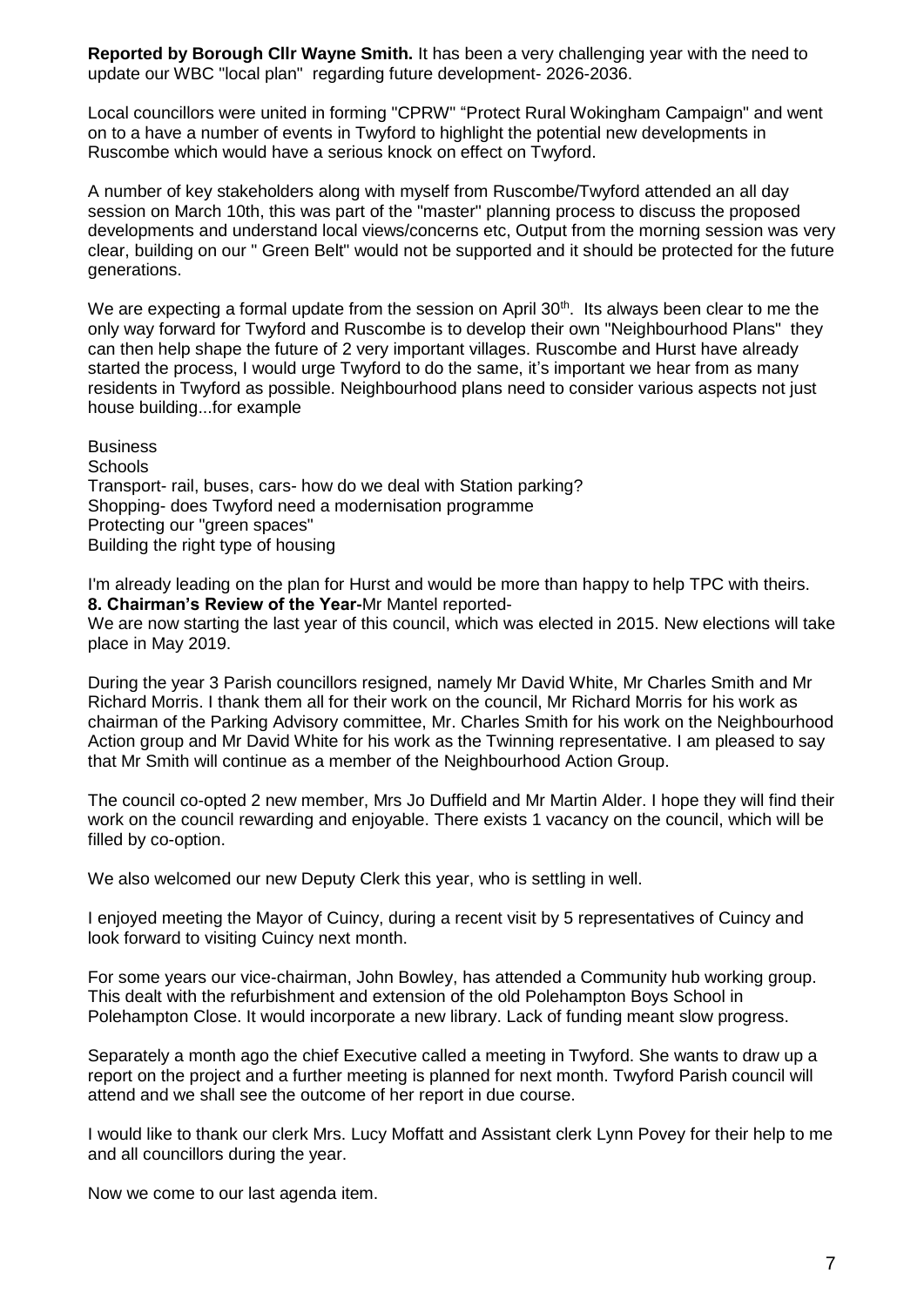**Reported by Borough Cllr Wayne Smith.** It has been a very challenging year with the need to update our WBC "local plan" regarding future development- 2026-2036.

Local councillors were united in forming "CPRW" "Protect Rural Wokingham Campaign" and went on to a have a number of events in Twyford to highlight the potential new developments in Ruscombe which would have a serious knock on effect on Twyford.

A number of key stakeholders along with myself from Ruscombe/Twyford attended an all day session on March 10th, this was part of the "master" planning process to discuss the proposed developments and understand local views/concerns etc, Output from the morning session was very clear, building on our " Green Belt" would not be supported and it should be protected for the future generations.

We are expecting a formal update from the session on April  $30<sup>th</sup>$ . Its always been clear to me the only way forward for Twyford and Ruscombe is to develop their own "Neighbourhood Plans" they can then help shape the future of 2 very important villages. Ruscombe and Hurst have already started the process. I would urge Twyford to do the same, it's important we hear from as many residents in Twyford as possible. Neighbourhood plans need to consider various aspects not just house building...for example

**Business Schools** Transport- rail, buses, cars- how do we deal with Station parking? Shopping- does Twyford need a modernisation programme Protecting our "green spaces" Building the right type of housing

I'm already leading on the plan for Hurst and would be more than happy to help TPC with theirs. **8. Chairman's Review of the Year-**Mr Mantel reported-

We are now starting the last year of this council, which was elected in 2015. New elections will take place in May 2019.

During the year 3 Parish councillors resigned, namely Mr David White, Mr Charles Smith and Mr Richard Morris. I thank them all for their work on the council, Mr Richard Morris for his work as chairman of the Parking Advisory committee, Mr. Charles Smith for his work on the Neighbourhood Action group and Mr David White for his work as the Twinning representative. I am pleased to say that Mr Smith will continue as a member of the Neighbourhood Action Group.

The council co-opted 2 new member, Mrs Jo Duffield and Mr Martin Alder. I hope they will find their work on the council rewarding and enjoyable. There exists 1 vacancy on the council, which will be filled by co-option.

We also welcomed our new Deputy Clerk this year, who is settling in well.

I enjoyed meeting the Mayor of Cuincy, during a recent visit by 5 representatives of Cuincy and look forward to visiting Cuincy next month.

For some years our vice-chairman, John Bowley, has attended a Community hub working group. This dealt with the refurbishment and extension of the old Polehampton Boys School in Polehampton Close. It would incorporate a new library. Lack of funding meant slow progress.

Separately a month ago the chief Executive called a meeting in Twyford. She wants to draw up a report on the project and a further meeting is planned for next month. Twyford Parish council will attend and we shall see the outcome of her report in due course.

I would like to thank our clerk Mrs. Lucy Moffatt and Assistant clerk Lynn Povey for their help to me and all councillors during the year.

Now we come to our last agenda item.